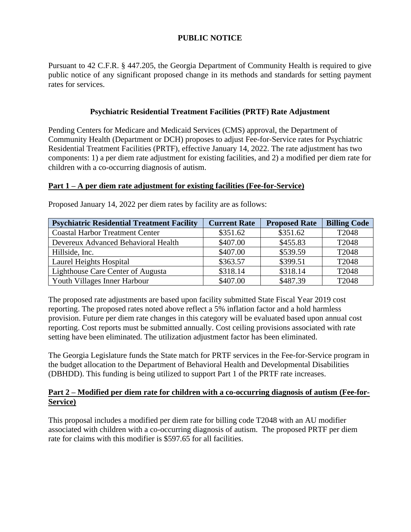# **PUBLIC NOTICE**

Pursuant to 42 C.F.R. § 447.205, the Georgia Department of Community Health is required to give public notice of any significant proposed change in its methods and standards for setting payment rates for services.

## **Psychiatric Residential Treatment Facilities (PRTF) Rate Adjustment**

Pending Centers for Medicare and Medicaid Services (CMS) approval, the Department of Community Health (Department or DCH) proposes to adjust Fee-for-Service rates for Psychiatric Residential Treatment Facilities (PRTF), effective January 14, 2022. The rate adjustment has two components: 1) a per diem rate adjustment for existing facilities, and 2) a modified per diem rate for children with a co-occurring diagnosis of autism.

## **Part 1 – A per diem rate adjustment for existing facilities (Fee-for-Service)**

| <b>Psychiatric Residential Treatment Facility</b> | <b>Current Rate</b> | <b>Proposed Rate</b> | <b>Billing Code</b> |
|---------------------------------------------------|---------------------|----------------------|---------------------|
| <b>Coastal Harbor Treatment Center</b>            | \$351.62            | \$351.62             | T2048               |
| Devereux Advanced Behavioral Health               | \$407.00            | \$455.83             | T2048               |
| Hillside, Inc.                                    | \$407.00            | \$539.59             | T2048               |
| Laurel Heights Hospital                           | \$363.57            | \$399.51             | T2048               |
| Lighthouse Care Center of Augusta                 | \$318.14            | \$318.14             | T2048               |
| Youth Villages Inner Harbour                      | \$407.00            | \$487.39             | T2048               |

Proposed January 14, 2022 per diem rates by facility are as follows:

The proposed rate adjustments are based upon facility submitted State Fiscal Year 2019 cost reporting. The proposed rates noted above reflect a 5% inflation factor and a hold harmless provision. Future per diem rate changes in this category will be evaluated based upon annual cost reporting. Cost reports must be submitted annually. Cost ceiling provisions associated with rate setting have been eliminated. The utilization adjustment factor has been eliminated.

The Georgia Legislature funds the State match for PRTF services in the Fee-for-Service program in the budget allocation to the Department of Behavioral Health and Developmental Disabilities (DBHDD). This funding is being utilized to support Part 1 of the PRTF rate increases.

## **Part 2 – Modified per diem rate for children with a co-occurring diagnosis of autism (Fee-for-Service)**

This proposal includes a modified per diem rate for billing code T2048 with an AU modifier associated with children with a co-occurring diagnosis of autism. The proposed PRTF per diem rate for claims with this modifier is \$597.65 for all facilities.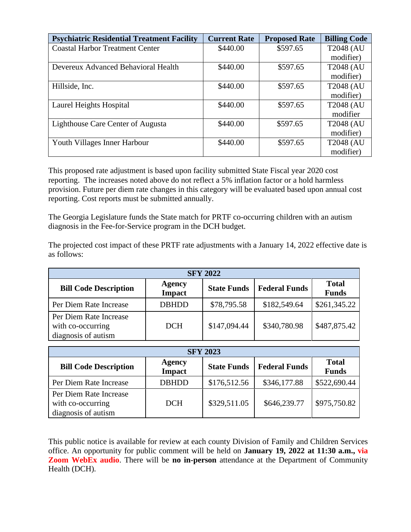| <b>Psychiatric Residential Treatment Facility</b> | <b>Current Rate</b> | <b>Proposed Rate</b> | <b>Billing Code</b> |
|---------------------------------------------------|---------------------|----------------------|---------------------|
| <b>Coastal Harbor Treatment Center</b>            | \$440.00            | \$597.65             | <b>T2048 (AU</b>    |
|                                                   |                     |                      | modifier)           |
| Devereux Advanced Behavioral Health               | \$440.00            | \$597.65             | <b>T2048 (AU</b>    |
|                                                   |                     |                      | modifier)           |
| Hillside, Inc.                                    | \$440.00            | \$597.65             | <b>T2048 (AU</b>    |
|                                                   |                     |                      | modifier)           |
| Laurel Heights Hospital                           | \$440.00            | \$597.65             | <b>T2048 (AU</b>    |
|                                                   |                     |                      | modifier            |
| Lighthouse Care Center of Augusta                 | \$440.00            | \$597.65             | <b>T2048 (AU</b>    |
|                                                   |                     |                      | modifier)           |
| Youth Villages Inner Harbour                      | \$440.00            | \$597.65             | <b>T2048 (AU</b>    |
|                                                   |                     |                      | modifier)           |

This proposed rate adjustment is based upon facility submitted State Fiscal year 2020 cost reporting. The increases noted above do not reflect a 5% inflation factor or a hold harmless provision. Future per diem rate changes in this category will be evaluated based upon annual cost reporting. Cost reports must be submitted annually.

The Georgia Legislature funds the State match for PRTF co-occurring children with an autism diagnosis in the Fee-for-Service program in the DCH budget.

The projected cost impact of these PRTF rate adjustments with a January 14, 2022 effective date is as follows:

| <b>SFY 2022</b>                                                    |                                |                    |                      |                              |  |
|--------------------------------------------------------------------|--------------------------------|--------------------|----------------------|------------------------------|--|
| <b>Bill Code Description</b>                                       | <b>Agency</b><br><b>Impact</b> | <b>State Funds</b> | <b>Federal Funds</b> | <b>Total</b><br><b>Funds</b> |  |
| Per Diem Rate Increase                                             | <b>DBHDD</b>                   | \$78,795.58        | \$182,549.64         | \$261,345.22                 |  |
| Per Diem Rate Increase<br>with co-occurring<br>diagnosis of autism | <b>DCH</b>                     | \$147,094.44       | \$340,780.98         | \$487,875.42                 |  |

| <b>SFY 2023</b>                                                    |                                |                    |                      |                              |  |
|--------------------------------------------------------------------|--------------------------------|--------------------|----------------------|------------------------------|--|
| <b>Bill Code Description</b>                                       | <b>Agency</b><br><b>Impact</b> | <b>State Funds</b> | <b>Federal Funds</b> | <b>Total</b><br><b>Funds</b> |  |
| Per Diem Rate Increase                                             | <b>DBHDD</b>                   | \$176,512.56       | \$346,177.88         | \$522,690.44                 |  |
| Per Diem Rate Increase<br>with co-occurring<br>diagnosis of autism | <b>DCH</b>                     | \$329,511.05       | \$646,239.77         | \$975,750.82                 |  |

This public notice is available for review at each county Division of Family and Children Services office. An opportunity for public comment will be held on **January 19, 2022 at 11:30 a.m., via Zoom WebEx audio**. There will be **no in-person** attendance at the Department of Community Health (DCH).